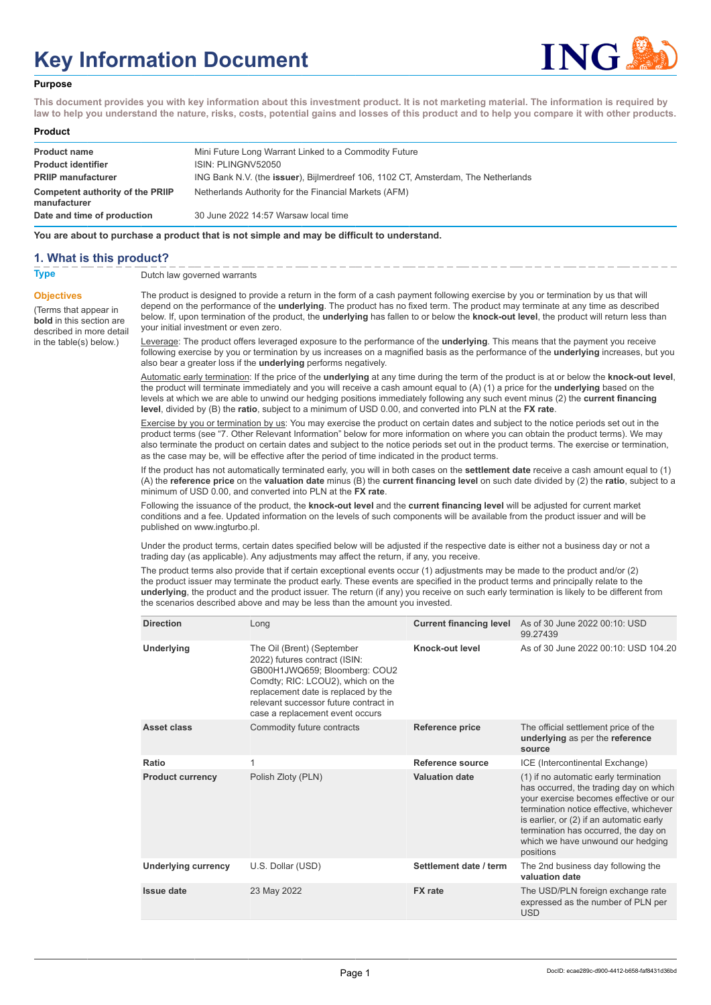# **Key Information Document**



### **Purpose**

**This document provides you with key information about this investment product. It is not marketing material. The information is required by law to help you understand the nature, risks, costs, potential gains and losses of this product and to help you compare it with other products.**

#### **Product**

| <b>Product name</b>                                     | Mini Future Long Warrant Linked to a Commodity Future                                     |
|---------------------------------------------------------|-------------------------------------------------------------------------------------------|
| <b>Product identifier</b>                               | ISIN: PLINGNV52050                                                                        |
| <b>PRIIP manufacturer</b>                               | ING Bank N.V. (the <b>issuer</b> ), Bijlmerdreef 106, 1102 CT, Amsterdam, The Netherlands |
| <b>Competent authority of the PRIIP</b><br>manufacturer | Netherlands Authority for the Financial Markets (AFM)                                     |
| Date and time of production                             | 30 June 2022 14:57 Warsaw local time                                                      |

**You are about to purchase a product that is not simple and may be difficult to understand.**

## **1. What is this product?**

**Objectives**

(Terms that appear in **bold** in this section are

in the table(s) below.)

**Type** Dutch law governed warrants

described in more detail The product is designed to provide a return in the form of a cash payment following exercise by you or termination by us that will depend on the performance of the **underlying**. The product has no fixed term. The product may terminate at any time as described below. If, upon termination of the product, the **underlying** has fallen to or below the **knock-out level**, the product will return less than your initial investment or even zero.

Leverage: The product offers leveraged exposure to the performance of the **underlying**. This means that the payment you receive following exercise by you or termination by us increases on a magnified basis as the performance of the **underlying** increases, but you also bear a greater loss if the **underlying** performs negatively.

Automatic early termination: If the price of the **underlying** at any time during the term of the product is at or below the **knock-out level**, the product will terminate immediately and you will receive a cash amount equal to (A) (1) a price for the **underlying** based on the levels at which we are able to unwind our hedging positions immediately following any such event minus (2) the **current financing level**, divided by (B) the **ratio**, subject to a minimum of USD 0.00, and converted into PLN at the **FX rate**.

Exercise by you or termination by us: You may exercise the product on certain dates and subject to the notice periods set out in the product terms (see "7. Other Relevant Information" below for more information on where you can obtain the product terms). We may also terminate the product on certain dates and subject to the notice periods set out in the product terms. The exercise or termination, as the case may be, will be effective after the period of time indicated in the product terms.

If the product has not automatically terminated early, you will in both cases on the **settlement date** receive a cash amount equal to (1) (A) the **reference price** on the **valuation date** minus (B) the **current financing level** on such date divided by (2) the **ratio**, subject to a minimum of USD 0.00, and converted into PLN at the **FX rate**.

Following the issuance of the product, the **knock-out level** and the **current financing level** will be adjusted for current market conditions and a fee. Updated information on the levels of such components will be available from the product issuer and will be published on www.ingturbo.pl.

Under the product terms, certain dates specified below will be adjusted if the respective date is either not a business day or not a trading day (as applicable). Any adjustments may affect the return, if any, you receive.

The product terms also provide that if certain exceptional events occur (1) adjustments may be made to the product and/or (2) the product issuer may terminate the product early. These events are specified in the product terms and principally relate to the **underlying**, the product and the product issuer. The return (if any) you receive on such early termination is likely to be different from the scenarios described above and may be less than the amount you invested.

| <b>Direction</b>           | Long                                                                                                                                                                                                                                                 | <b>Current financing level</b> | As of 30 June 2022 00:10: USD<br>99.27439                                                                                                                                                                                                                                                                  |
|----------------------------|------------------------------------------------------------------------------------------------------------------------------------------------------------------------------------------------------------------------------------------------------|--------------------------------|------------------------------------------------------------------------------------------------------------------------------------------------------------------------------------------------------------------------------------------------------------------------------------------------------------|
| Underlying                 | The Oil (Brent) (September<br>2022) futures contract (ISIN:<br>GB00H1JWQ659; Bloomberg: COU2<br>Comdty; RIC: LCOU2), which on the<br>replacement date is replaced by the<br>relevant successor future contract in<br>case a replacement event occurs | Knock-out level                | As of 30 June 2022 00:10: USD 104.20                                                                                                                                                                                                                                                                       |
| Asset class                | Commodity future contracts                                                                                                                                                                                                                           | Reference price                | The official settlement price of the<br>underlying as per the reference<br>source                                                                                                                                                                                                                          |
| Ratio                      | 1                                                                                                                                                                                                                                                    | Reference source               | ICE (Intercontinental Exchange)                                                                                                                                                                                                                                                                            |
| <b>Product currency</b>    | Polish Zloty (PLN)                                                                                                                                                                                                                                   | <b>Valuation date</b>          | (1) if no automatic early termination<br>has occurred, the trading day on which<br>your exercise becomes effective or our<br>termination notice effective, whichever<br>is earlier, or (2) if an automatic early<br>termination has occurred, the day on<br>which we have unwound our hedging<br>positions |
| <b>Underlying currency</b> | U.S. Dollar (USD)                                                                                                                                                                                                                                    | Settlement date / term         | The 2nd business day following the<br>valuation date                                                                                                                                                                                                                                                       |
| <b>Issue date</b>          | 23 May 2022                                                                                                                                                                                                                                          | <b>FX</b> rate                 | The USD/PLN foreign exchange rate<br>expressed as the number of PLN per<br><b>USD</b>                                                                                                                                                                                                                      |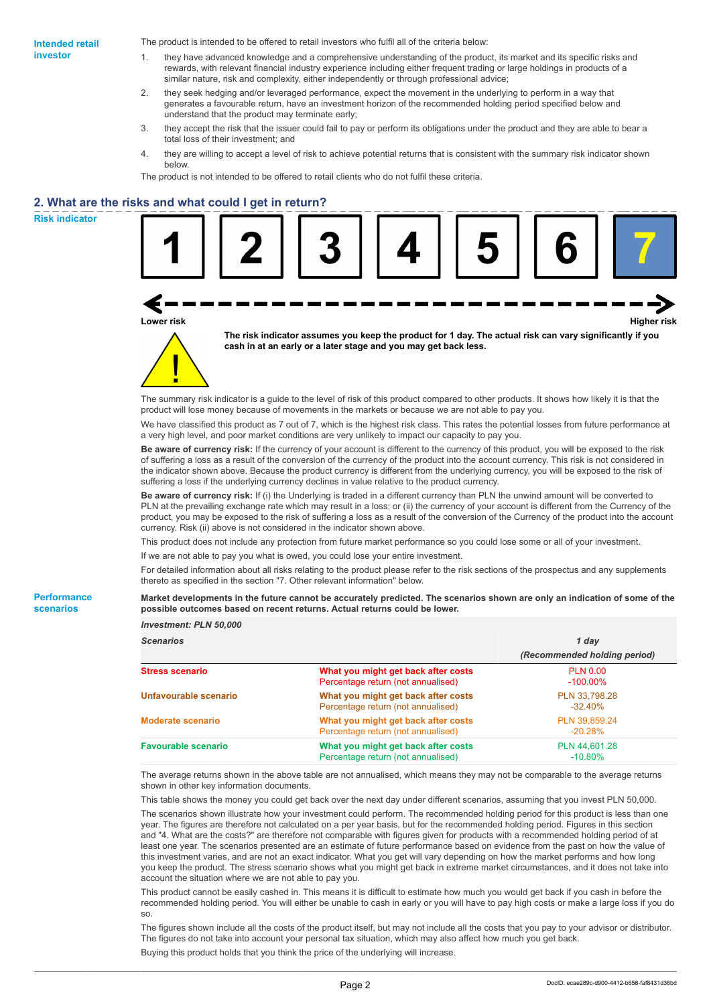The product is intended to be offered to retail investors who fulfil all of the criteria below:

- 1. they have advanced knowledge and a comprehensive understanding of the product, its market and its specific risks and rewards, with relevant financial industry experience including either frequent trading or large holdings in products of a similar nature, risk and complexity, either independently or through professional advice;
- 2. they seek hedging and/or leveraged performance, expect the movement in the underlying to perform in a way that generates a favourable return, have an investment horizon of the recommended holding period specified below and understand that the product may terminate early;
- 3. they accept the risk that the issuer could fail to pay or perform its obligations under the product and they are able to bear a total loss of their investment; and
- 4. they are willing to accept a level of risk to achieve potential returns that is consistent with the summary risk indicator shown below.

The product is not intended to be offered to retail clients who do not fulfil these criteria.

## **2. What are the risks and what could I get in return?**

**Risk indicator**

**Performance scenarios**



The summary risk indicator is a guide to the level of risk of this product compared to other products. It shows how likely it is that the product will lose money because of movements in the markets or because we are not able to pay you.

We have classified this product as 7 out of 7, which is the highest risk class. This rates the potential losses from future performance at a very high level, and poor market conditions are very unlikely to impact our capacity to pay you.

**Be aware of currency risk:** If the currency of your account is different to the currency of this product, you will be exposed to the risk of suffering a loss as a result of the conversion of the currency of the product into the account currency. This risk is not considered in the indicator shown above. Because the product currency is different from the underlying currency, you will be exposed to the risk of suffering a loss if the underlying currency declines in value relative to the product currency.

**Be aware of currency risk:** If (i) the Underlying is traded in a different currency than PLN the unwind amount will be converted to PLN at the prevailing exchange rate which may result in a loss; or (ii) the currency of your account is different from the Currency of the product, you may be exposed to the risk of suffering a loss as a result of the conversion of the Currency of the product into the account currency. Risk (ii) above is not considered in the indicator shown above.

This product does not include any protection from future market performance so you could lose some or all of your investment.

If we are not able to pay you what is owed, you could lose your entire investment.

For detailed information about all risks relating to the product please refer to the risk sections of the prospectus and any supplements thereto as specified in the section "7. Other relevant information" below.

#### **Market developments in the future cannot be accurately predicted. The scenarios shown are only an indication of some of the possible outcomes based on recent returns. Actual returns could be lower.**

| <b>Scenarios</b>           |                                                                           | 1 day                          |
|----------------------------|---------------------------------------------------------------------------|--------------------------------|
|                            |                                                                           | (Recommended holding period)   |
| <b>Stress scenario</b>     | What you might get back after costs<br>Percentage return (not annualised) | <b>PLN 0.00</b><br>$-100.00\%$ |
| Unfavourable scenario      | What you might get back after costs<br>Percentage return (not annualised) | PLN 33,798.28<br>$-32.40%$     |
| <b>Moderate scenario</b>   | What you might get back after costs<br>Percentage return (not annualised) | PLN 39.859.24<br>$-20.28%$     |
| <b>Favourable scenario</b> | What you might get back after costs<br>Percentage return (not annualised) | PLN 44,601.28<br>$-10.80\%$    |

The average returns shown in the above table are not annualised, which means they may not be comparable to the average returns shown in other key information documents.

This table shows the money you could get back over the next day under different scenarios, assuming that you invest PLN 50,000.

The scenarios shown illustrate how your investment could perform. The recommended holding period for this product is less than one year. The figures are therefore not calculated on a per year basis, but for the recommended holding period. Figures in this section and "4. What are the costs?" are therefore not comparable with figures given for products with a recommended holding period of at least one year. The scenarios presented are an estimate of future performance based on evidence from the past on how the value of this investment varies, and are not an exact indicator. What you get will vary depending on how the market performs and how long you keep the product. The stress scenario shows what you might get back in extreme market circumstances, and it does not take into account the situation where we are not able to pay you.

This product cannot be easily cashed in. This means it is difficult to estimate how much you would get back if you cash in before the recommended holding period. You will either be unable to cash in early or you will have to pay high costs or make a large loss if you do so.

The figures shown include all the costs of the product itself, but may not include all the costs that you pay to your advisor or distributor. The figures do not take into account your personal tax situation, which may also affect how much you get back. Buying this product holds that you think the price of the underlying will increase.